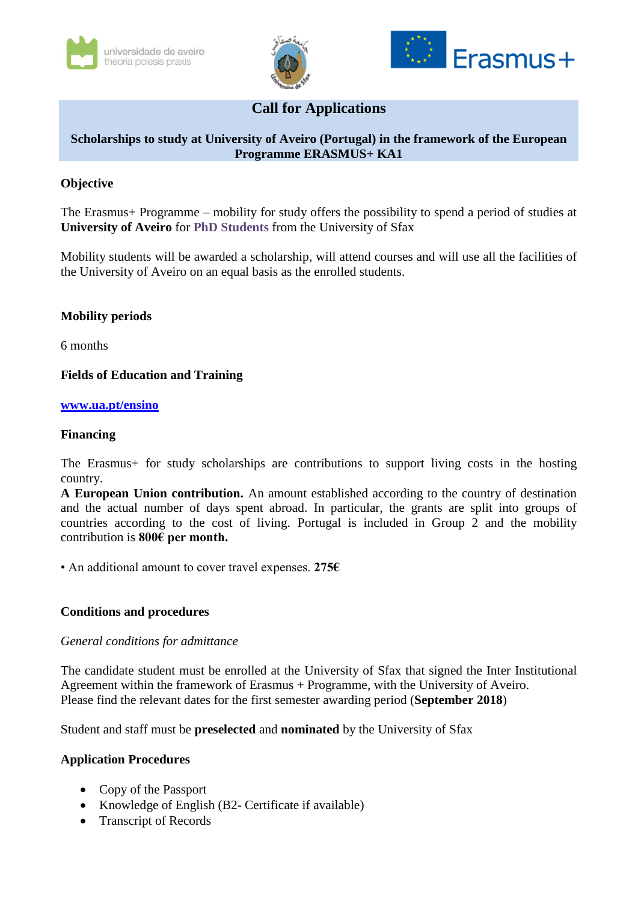





# **Call for Applications**

## **Scholarships to study at University of Aveiro (Portugal) in the framework of the European Programme ERASMUS+ KA1**

## **Objective**

The Erasmus+ Programme – mobility for study offers the possibility to spend a period of studies at **University of Aveiro** for **PhD Students** from the University of Sfax

Mobility students will be awarded a scholarship, will attend courses and will use all the facilities of the University of Aveiro on an equal basis as the enrolled students.

## **Mobility periods**

6 months

### **Fields of Education and Training**

#### **[www.ua.pt/ensino](http://www.ua.pt/ensino)**

#### **Financing**

The Erasmus+ for study scholarships are contributions to support living costs in the hosting country.

**A European Union contribution.** An amount established according to the country of destination and the actual number of days spent abroad. In particular, the grants are split into groups of countries according to the cost of living. Portugal is included in Group 2 and the mobility contribution is **800€ per month.**

• An additional amount to cover travel expenses. **275€**

#### **Conditions and procedures**

#### *General conditions for admittance*

The candidate student must be enrolled at the University of Sfax that signed the Inter Institutional Agreement within the framework of Erasmus + Programme, with the University of Aveiro. Please find the relevant dates for the first semester awarding period (**September 2018**)

Student and staff must be **preselected** and **nominated** by the University of Sfax

#### **Application Procedures**

- Copy of the Passport
- Knowledge of English (B2- Certificate if available)
- Transcript of Records